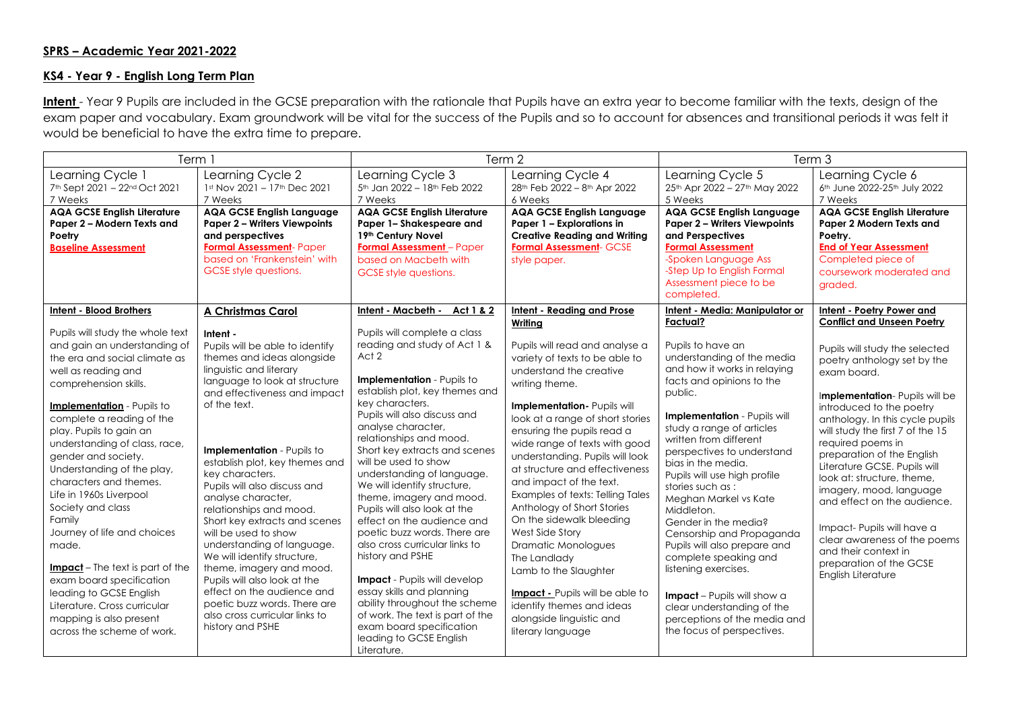## **SPRS – Academic Year 2021-2022**

## **KS4 - Year 9 - English Long Term Plan**

Intent - Year 9 Pupils are included in the GCSE preparation with the rationale that Pupils have an extra year to become familiar with the texts, design of the exam paper and vocabulary. Exam groundwork will be vital for the success of the Pupils and so to account for absences and transitional periods it was felt it would be beneficial to have the extra time to prepare.

| Term 1                                                                                                                                                                                                                                                                                                                                                                                                                                                                  |                                                                                                                                                                                                                                                                                                                                                                                                                                                                                                 | Term 2                                                                                                                                                                                                                                                                                                                                                                                                                                                                                                          |                                                                                                                                                                                                                                                                                                                                                                                                                                                                                                                                  | Term 3                                                                                                                                                                                                                                                                                                                                                                                                                                                                                              |                                                                                                                                                                                                                                                                                                                                                                                                                                                                                                               |
|-------------------------------------------------------------------------------------------------------------------------------------------------------------------------------------------------------------------------------------------------------------------------------------------------------------------------------------------------------------------------------------------------------------------------------------------------------------------------|-------------------------------------------------------------------------------------------------------------------------------------------------------------------------------------------------------------------------------------------------------------------------------------------------------------------------------------------------------------------------------------------------------------------------------------------------------------------------------------------------|-----------------------------------------------------------------------------------------------------------------------------------------------------------------------------------------------------------------------------------------------------------------------------------------------------------------------------------------------------------------------------------------------------------------------------------------------------------------------------------------------------------------|----------------------------------------------------------------------------------------------------------------------------------------------------------------------------------------------------------------------------------------------------------------------------------------------------------------------------------------------------------------------------------------------------------------------------------------------------------------------------------------------------------------------------------|-----------------------------------------------------------------------------------------------------------------------------------------------------------------------------------------------------------------------------------------------------------------------------------------------------------------------------------------------------------------------------------------------------------------------------------------------------------------------------------------------------|---------------------------------------------------------------------------------------------------------------------------------------------------------------------------------------------------------------------------------------------------------------------------------------------------------------------------------------------------------------------------------------------------------------------------------------------------------------------------------------------------------------|
| Learning Cycle 1<br>7th Sept 2021 - 22nd Oct 2021<br>7 Weeks                                                                                                                                                                                                                                                                                                                                                                                                            | Learning Cycle 2<br>1st Nov 2021 - 17th Dec 2021<br>7 Weeks                                                                                                                                                                                                                                                                                                                                                                                                                                     | Learning Cycle 3<br>5th Jan 2022 - 18th Feb 2022<br>7 Weeks                                                                                                                                                                                                                                                                                                                                                                                                                                                     | Learning Cycle 4<br>28 <sup>th</sup> Feb 2022 - 8 <sup>th</sup> Apr 2022<br>6 Weeks                                                                                                                                                                                                                                                                                                                                                                                                                                              | Learning Cycle 5<br>25th Apr 2022 - 27th May 2022<br>5 Weeks                                                                                                                                                                                                                                                                                                                                                                                                                                        | Learning Cycle 6<br>6th June 2022-25th July 2022<br>7 Weeks                                                                                                                                                                                                                                                                                                                                                                                                                                                   |
| <b>AQA GCSE English Literature</b><br>Paper 2 - Modern Texts and<br>Poetry<br><b>Baseline Assessment</b>                                                                                                                                                                                                                                                                                                                                                                | <b>AQA GCSE English Language</b><br><b>Paper 2 - Writers Viewpoints</b><br>and perspectives<br>Formal Assessment- Paper<br>based on 'Frankenstein' with<br>GCSE style questions.                                                                                                                                                                                                                                                                                                                | <b>AQA GCSE English Literature</b><br>Paper 1-Shakespeare and<br>19th Century Novel<br><b>Formal Assessment</b> - Paper<br>based on Macbeth with<br>GCSE style questions.                                                                                                                                                                                                                                                                                                                                       | <b>AQA GCSE English Language</b><br>Paper 1 - Explorations in<br><b>Creative Reading and Writing</b><br><b>Formal Assessment- GCSE</b><br>style paper.                                                                                                                                                                                                                                                                                                                                                                           | <b>AQA GCSE English Language</b><br><b>Paper 2 - Writers Viewpoints</b><br>and Perspectives<br><b>Formal Assessment</b><br>-Spoken Language Ass<br>-Step Up to English Formal<br>Assessment piece to be<br>completed.                                                                                                                                                                                                                                                                               | <b>AQA GCSE English Literature</b><br>Paper 2 Modern Texts and<br>Poetry.<br><b>End of Year Assessment</b><br>Completed piece of<br>coursework moderated and<br>graded.                                                                                                                                                                                                                                                                                                                                       |
| <b>Intent - Blood Brothers</b><br>Pupils will study the whole text                                                                                                                                                                                                                                                                                                                                                                                                      | A Christmas Carol<br>Intent -                                                                                                                                                                                                                                                                                                                                                                                                                                                                   | Intent - Macbeth - Act 1 & 2<br>Pupils will complete a class                                                                                                                                                                                                                                                                                                                                                                                                                                                    | <b>Intent - Reading and Prose</b><br>Writing                                                                                                                                                                                                                                                                                                                                                                                                                                                                                     | Intent - Media: Manipulator or<br>Factual?                                                                                                                                                                                                                                                                                                                                                                                                                                                          | Intent - Poetry Power and<br><b>Conflict and Unseen Poetry</b>                                                                                                                                                                                                                                                                                                                                                                                                                                                |
| and gain an understanding of<br>the era and social climate as<br>well as reading and<br>comprehension skills.<br><b>Implementation</b> - Pupils to<br>complete a reading of the<br>play. Pupils to gain an<br>understanding of class, race,<br>gender and society.<br>Understanding of the play,<br>characters and themes.<br>Life in 1960s Liverpool<br>Society and class<br>Family<br>Journey of life and choices<br>made.<br><b>Impact</b> – The text is part of the | Pupils will be able to identify<br>themes and ideas alongside<br>linguistic and literary<br>language to look at structure<br>and effectiveness and impact<br>of the text.<br>Implementation - Pupils to<br>establish plot, key themes and<br>key characters.<br>Pupils will also discuss and<br>analyse character,<br>relationships and mood.<br>Short key extracts and scenes<br>will be used to show<br>understanding of language.<br>We will identify structure,<br>theme, imagery and mood. | reading and study of Act 1 &<br>Act 2<br>Implementation - Pupils to<br>establish plot, key themes and<br>key characters.<br>Pupils will also discuss and<br>analyse character,<br>relationships and mood.<br>Short key extracts and scenes<br>will be used to show<br>understanding of language.<br>We will identify structure,<br>theme, imagery and mood.<br>Pupils will also look at the<br>effect on the audience and<br>poetic buzz words. There are<br>also cross curricular links to<br>history and PSHE | Pupils will read and analyse a<br>variety of texts to be able to<br>understand the creative<br>writing theme.<br>Implementation- Pupils will<br>look at a range of short stories<br>ensuring the pupils read a<br>wide range of texts with good<br>understanding. Pupils will look<br>at structure and effectiveness<br>and impact of the text.<br>Examples of texts: Telling Tales<br>Anthology of Short Stories<br>On the sidewalk bleeding<br>West Side Story<br>Dramatic Monologues<br>The Landlady<br>Lamb to the Slaughter | Pupils to have an<br>understanding of the media<br>and how it works in relaying<br>facts and opinions to the<br>public.<br>Implementation - Pupils will<br>study a range of articles<br>written from different<br>perspectives to understand<br>bias in the media.<br>Pupils will use high profile<br>stories such as:<br>Meghan Markel vs Kate<br>Middleton.<br>Gender in the media?<br>Censorship and Propaganda<br>Pupils will also prepare and<br>complete speaking and<br>listening exercises. | Pupils will study the selected<br>poetry anthology set by the<br>exam board.<br>Implementation- Pupils will be<br>introduced to the poetry<br>anthology. In this cycle pupils<br>will study the first 7 of the 15<br>required poems in<br>preparation of the English<br>Literature GCSE. Pupils will<br>look at: structure, theme,<br>imagery, mood, language<br>and effect on the audience.<br>Impact- Pupils will have a<br>clear awareness of the poems<br>and their context in<br>preparation of the GCSE |
| exam board specification<br>leading to GCSE English<br>Literature. Cross curricular<br>mapping is also present<br>across the scheme of work.                                                                                                                                                                                                                                                                                                                            | Pupils will also look at the<br>effect on the audience and<br>poetic buzz words. There are<br>also cross curricular links to<br>history and PSHE                                                                                                                                                                                                                                                                                                                                                | <b>Impact</b> - Pupils will develop<br>essay skills and planning<br>ability throughout the scheme<br>of work. The text is part of the<br>exam board specification<br>leading to GCSE English<br>Literature.                                                                                                                                                                                                                                                                                                     | <b>Impact - Pupils will be able to</b><br>identify themes and ideas<br>alongside linguistic and<br>literary language                                                                                                                                                                                                                                                                                                                                                                                                             | Impact - Pupils will show a<br>clear understanding of the<br>perceptions of the media and<br>the focus of perspectives.                                                                                                                                                                                                                                                                                                                                                                             | English Literature                                                                                                                                                                                                                                                                                                                                                                                                                                                                                            |